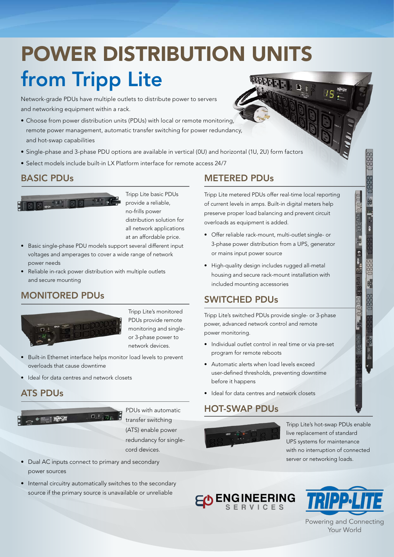## POWER DISTRIBUTION UNITS from Tripp Lite计开开

Network-grade PDUs have multiple outlets to distribute power to servers and networking equipment within a rack.

- Choose from power distribution units (PDUs) with local or remote monitoring, remote power management, automatic transfer switching for power redundancy, and hot-swap capabilities
- Single-phase and 3-phase PDU options are available in vertical (0U) and horizontal (1U, 2U) form factors
- Select models include built-in LX Platform interface for remote access 24/7

#### BASIC PDUs



Tripp Lite basic PDUs provide a reliable, no-frills power distribution solution for all network applications at an affordable price.

- Basic single-phase PDU models support several different input voltages and amperages to cover a wide range of network power needs
- Reliable in-rack power distribution with multiple outlets and secure mounting

#### MONITORED PDUs



Tripp Lite's monitored PDUs provide remote monitoring and singleor 3-phase power to network devices.

- Built-in Ethernet interface helps monitor load levels to prevent overloads that cause downtime
- Ideal for data centres and network closets

#### ATS PDUs



PDUs with automatic transfer switching (ATS) enable power redundancy for single cord devices.

- Dual AC inputs connect to primary and secondary power sources
- Internal circuitry automatically switches to the secondary source if the primary source is unavailable or unreliable

#### METERED PDUs

Tripp Lite metered PDUs offer real-time local reporting of current levels in amps. Built-in digital meters help preserve proper load balancing and prevent circuit overloads as equipment is added.

- Offer reliable rack-mount, multi-outlet single- or 3-phase power distribution from a UPS, generator or mains input power source
- High-quality design includes rugged all-metal housing and secure rack-mount installation with included mounting accessories

#### SWITCHED PDUs

Tripp Lite's switched PDUs provide single- or 3-phase power, advanced network control and remote power monitoring.

- Individual outlet control in real time or via pre-set program for remote reboots
- Automatic alerts when load levels exceed user-defined thresholds, preventing downtime before it happens
- Ideal for data centres and network closets

#### HOT-SWAP PDUs



Tripp Lite's hot-swap PDUs enable live replacement of standard UPS systems for maintenance with no interruption of connected server or networking loads.

# ENGINEERING



actor of actor of the second second second second second second second second second second second second second second second second second second second second second second second second second second second second seco

Powering and Connecting Your World